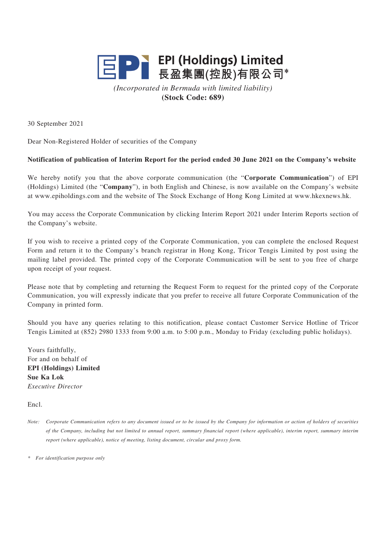

*(Incorporated in Bermuda with limited liability)* **(Stock Code: 689)**

30 September 2021

Dear Non-Registered Holder of securities of the Company

## **Notification of publication of Interim Report for the period ended 30 June 2021 on the Company's website**

We hereby notify you that the above corporate communication (the "**Corporate Communication**") of EPI (Holdings) Limited (the "**Company**"), in both English and Chinese, is now available on the Company's website at www.epiholdings.com and the website of The Stock Exchange of Hong Kong Limited at www.hkexnews.hk.

You may access the Corporate Communication by clicking Interim Report 2021 under Interim Reports section of the Company's website.

If you wish to receive a printed copy of the Corporate Communication, you can complete the enclosed Request Form and return it to the Company's branch registrar in Hong Kong, Tricor Tengis Limited by post using the mailing label provided. The printed copy of the Corporate Communication will be sent to you free of charge upon receipt of your request.

Please note that by completing and returning the Request Form to request for the printed copy of the Corporate Communication, you will expressly indicate that you prefer to receive all future Corporate Communication of the Company in printed form.

Should you have any queries relating to this notification, please contact Customer Service Hotline of Tricor Tengis Limited at (852) 2980 1333 from 9:00 a.m. to 5:00 p.m., Monday to Friday (excluding public holidays).

Yours faithfully, For and on behalf of **EPI (Holdings) Limited Sue Ka Lok** *Executive Director*

Encl.

*Note: Corporate Communication refers to any document issued or to be issued by the Company for information or action of holders of securities of the Company, including but not limited to annual report, summary financial report (where applicable), interim report, summary interim report (where applicable), notice of meeting, listing document, circular and proxy form.*

*\* For identification purpose only*